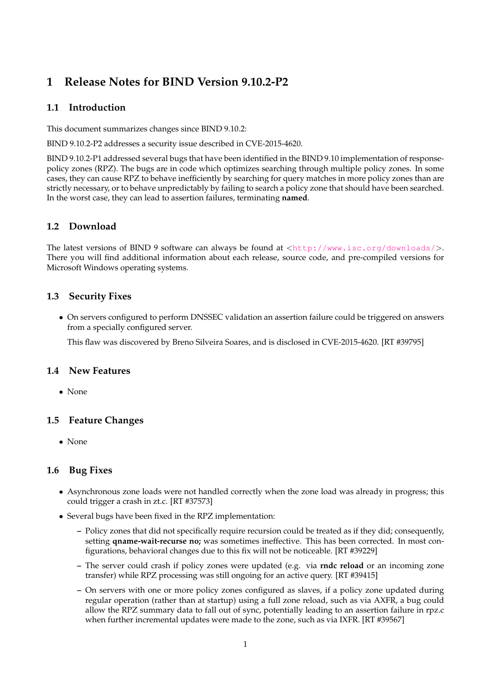# **1 Release Notes for BIND Version 9.10.2-P2**

## **1.1 Introduction**

This document summarizes changes since BIND 9.10.2:

BIND 9.10.2-P2 addresses a security issue described in CVE-2015-4620.

BIND 9.10.2-P1 addressed several bugs that have been identified in the BIND 9.10 implementation of responsepolicy zones (RPZ). The bugs are in code which optimizes searching through multiple policy zones. In some cases, they can cause RPZ to behave inefficiently by searching for query matches in more policy zones than are strictly necessary, or to behave unpredictably by failing to search a policy zone that should have been searched. In the worst case, they can lead to assertion failures, terminating **named**.

## **1.2 Download**

The latest versions of BIND 9 software can always be found at  $\langle \text{http://www.isc.org/downloads/}>$  $\langle \text{http://www.isc.org/downloads/}>$  $\langle \text{http://www.isc.org/downloads/}>$ . There you will find additional information about each release, source code, and pre-compiled versions for Microsoft Windows operating systems.

## **1.3 Security Fixes**

• On servers configured to perform DNSSEC validation an assertion failure could be triggered on answers from a specially configured server.

This flaw was discovered by Breno Silveira Soares, and is disclosed in CVE-2015-4620. [RT #39795]

### **1.4 New Features**

• None

### **1.5 Feature Changes**

• None

### **1.6 Bug Fixes**

- Asynchronous zone loads were not handled correctly when the zone load was already in progress; this could trigger a crash in zt.c. [RT #37573]
- Several bugs have been fixed in the RPZ implementation:
	- **–** Policy zones that did not specifically require recursion could be treated as if they did; consequently, setting **qname-wait-recurse no;** was sometimes ineffective. This has been corrected. In most configurations, behavioral changes due to this fix will not be noticeable. [RT #39229]
	- **–** The server could crash if policy zones were updated (e.g. via **rndc reload** or an incoming zone transfer) while RPZ processing was still ongoing for an active query. [RT #39415]
	- **–** On servers with one or more policy zones configured as slaves, if a policy zone updated during regular operation (rather than at startup) using a full zone reload, such as via AXFR, a bug could allow the RPZ summary data to fall out of sync, potentially leading to an assertion failure in rpz.c when further incremental updates were made to the zone, such as via IXFR. [RT #39567]